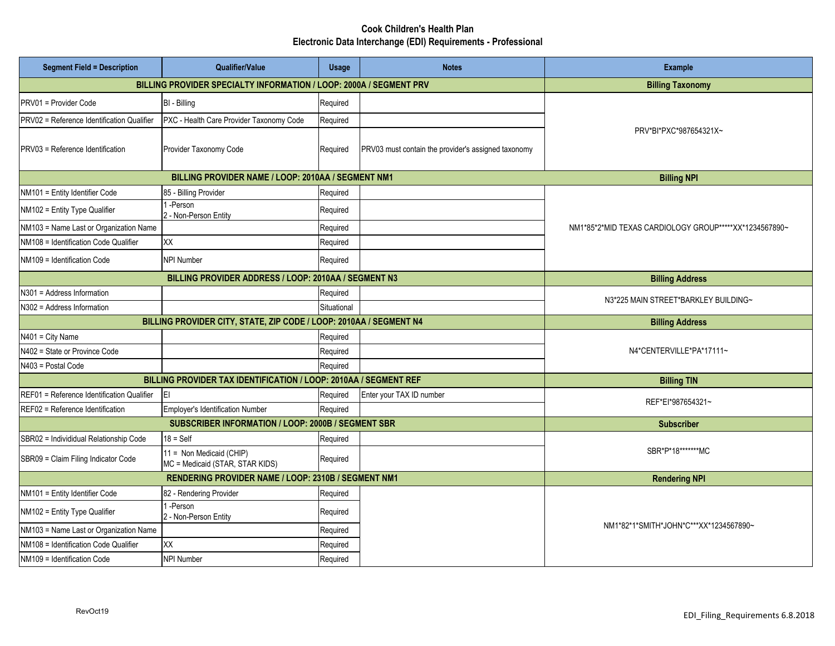## **Cook Children's Health Plan Electronic Data Interchange (EDI) Requirements - Professional**

| <b>Segment Field = Description</b>         | <b>Qualifier/Value</b>                                             | <b>Usage</b>           | <b>Notes</b>                                        | <b>Example</b>                                         |
|--------------------------------------------|--------------------------------------------------------------------|------------------------|-----------------------------------------------------|--------------------------------------------------------|
|                                            | BILLING PROVIDER SPECIALTY INFORMATION / LOOP: 2000A / SEGMENT PRV |                        |                                                     | <b>Billing Taxonomy</b>                                |
| PRV01 = Provider Code                      | BI - Billing                                                       | Required               |                                                     | PRV*BI*PXC*987654321X~                                 |
| PRV02 = Reference Identification Qualifier | PXC - Health Care Provider Taxonomy Code                           | Required               |                                                     |                                                        |
| PRV03 = Reference Identification           | Provider Taxonomy Code                                             | Required               | PRV03 must contain the provider's assigned taxonomy |                                                        |
|                                            | BILLING PROVIDER NAME / LOOP: 2010AA / SEGMENT NM1                 |                        |                                                     | <b>Billing NPI</b>                                     |
| NM101 = Entity Identifier Code             | 85 - Billing Provider                                              | Required               |                                                     | NM1*85*2*MID TEXAS CARDIOLOGY GROUP*****XX*1234567890~ |
| NM102 = Entity Type Qualifier              | 1-Person<br>2 - Non-Person Entity                                  | Required               |                                                     |                                                        |
| NM103 = Name Last or Organization Name     |                                                                    | Required               |                                                     |                                                        |
| NM108 = Identification Code Qualifier      | XX                                                                 | Required               |                                                     |                                                        |
| NM109 = Identification Code                | NPI Number                                                         | Required               |                                                     |                                                        |
|                                            | BILLING PROVIDER ADDRESS / LOOP: 2010AA / SEGMENT N3               | <b>Billing Address</b> |                                                     |                                                        |
| N301 = Address Information                 |                                                                    | Required               |                                                     | N3*225 MAIN STREET*BARKLEY BUILDING~                   |
| N302 = Address Information                 |                                                                    | Situational            |                                                     |                                                        |
|                                            | BILLING PROVIDER CITY, STATE, ZIP CODE / LOOP: 2010AA / SEGMENT N4 |                        |                                                     | <b>Billing Address</b>                                 |
| N401 = City Name                           |                                                                    | Required               |                                                     | N4*CENTERVILLE*PA*17111~                               |
| N402 = State or Province Code              |                                                                    | Required               |                                                     |                                                        |
| N403 = Postal Code                         |                                                                    | Required               |                                                     |                                                        |
|                                            | BILLING PROVIDER TAX IDENTIFICATION / LOOP: 2010AA / SEGMENT REF   | <b>Billing TIN</b>     |                                                     |                                                        |
| REF01 = Reference Identification Qualifier | ΙEΙ                                                                | Required               | Enter your TAX ID number                            | REF*EI*987654321~                                      |
| REF02 = Reference Identification           | Employer's Identification Number                                   | Required               |                                                     |                                                        |
|                                            | SUBSCRIBER INFORMATION / LOOP: 2000B / SEGMENT SBR                 | <b>Subscriber</b>      |                                                     |                                                        |
| SBR02 = Individidual Relationship Code     | $18 = Self$                                                        | Required               |                                                     | SBR*P*18*******MC                                      |
| SBR09 = Claim Filing Indicator Code        | 11 = Non Medicaid (CHIP)<br>MC = Medicaid (STAR, STAR KIDS)        | Required               |                                                     |                                                        |
|                                            | RENDERING PROVIDER NAME / LOOP: 2310B / SEGMENT NM1                | <b>Rendering NPI</b>   |                                                     |                                                        |
| NM101 = Entity Identifier Code             | 82 - Rendering Provider                                            | Required               |                                                     | NM1*82*1*SMITH*JOHN*C***XX*1234567890~                 |
| NM102 = Entity Type Qualifier              | 1-Person<br>2 - Non-Person Entity                                  | Required               |                                                     |                                                        |
| NM103 = Name Last or Organization Name     |                                                                    | Required               |                                                     |                                                        |
| NM108 = Identification Code Qualifier      | XX                                                                 | Required               |                                                     |                                                        |
| NM109 = Identification Code                | NPI Number                                                         | Required               |                                                     |                                                        |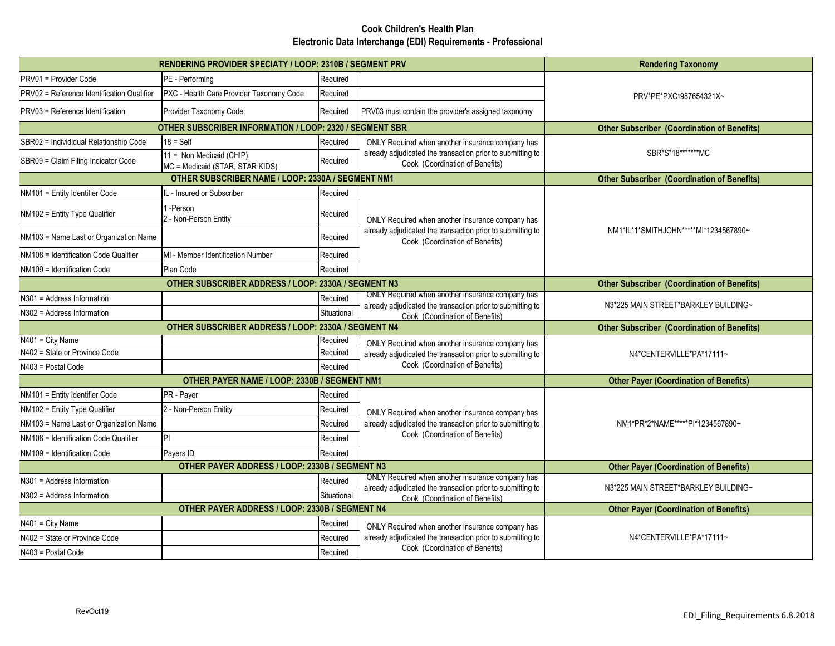## **Cook Children's Health Plan Electronic Data Interchange (EDI) Requirements - Professional**

|                                            | RENDERING PROVIDER SPECIATY / LOOP: 2310B / SEGMENT PRV        | <b>Rendering Taxonomy</b>                          |                                                                                                                                                   |                                       |
|--------------------------------------------|----------------------------------------------------------------|----------------------------------------------------|---------------------------------------------------------------------------------------------------------------------------------------------------|---------------------------------------|
| PRV01 = Provider Code                      | PE - Performing                                                | Required                                           |                                                                                                                                                   |                                       |
| PRV02 = Reference Identification Qualifier | PXC - Health Care Provider Taxonomy Code                       | Required                                           | PRV*PE*PXC*987654321X~<br>PRV03 must contain the provider's assigned taxonomy                                                                     |                                       |
| PRV03 = Reference Identification           | Provider Taxonomy Code                                         | Required                                           |                                                                                                                                                   |                                       |
|                                            | <b>OTHER SUBSCRIBER INFORMATION / LOOP: 2320 / SEGMENT SBR</b> | <b>Other Subscriber (Coordination of Benefits)</b> |                                                                                                                                                   |                                       |
| SBR02 = Individidual Relationship Code     | $18 = Self$                                                    | Required                                           | ONLY Required when another insurance company has<br>already adjudicated the transaction prior to submitting to<br>Cook (Coordination of Benefits) | SBR*S*18*******MC                     |
| SBR09 = Claim Filing Indicator Code        | 11 = Non Medicaid (CHIP)<br>MC = Medicaid (STAR, STAR KIDS)    | Required                                           |                                                                                                                                                   |                                       |
|                                            | OTHER SUBSCRIBER NAME / LOOP: 2330A / SEGMENT NM1              | <b>Other Subscriber (Coordination of Benefits)</b> |                                                                                                                                                   |                                       |
| NM101 = Entity Identifier Code             | L - Insured or Subscriber                                      | Required                                           | ONLY Required when another insurance company has<br>already adjudicated the transaction prior to submitting to<br>Cook (Coordination of Benefits) | NM1*IL*1*SMITHJOHN*****MI*1234567890~ |
| NM102 = Entity Type Qualifier              | -Person<br>2 - Non-Person Entity                               | Required                                           |                                                                                                                                                   |                                       |
| NM103 = Name Last or Organization Name     |                                                                | Required                                           |                                                                                                                                                   |                                       |
| NM108 = Identification Code Qualifier      | MI - Member Identification Number                              | Required                                           |                                                                                                                                                   |                                       |
| NM109 = Identification Code                | Plan Code                                                      | Required                                           |                                                                                                                                                   |                                       |
|                                            | OTHER SUBSCRIBER ADDRESS / LOOP: 2330A / SEGMENT N3            | <b>Other Subscriber (Coordination of Benefits)</b> |                                                                                                                                                   |                                       |
| N301 = Address Information                 |                                                                | Required                                           | ONLY Required when another insurance company has<br>already adjudicated the transaction prior to submitting to                                    |                                       |
| N302 = Address Information                 |                                                                | Situational                                        | Cook (Coordination of Benefits)                                                                                                                   | N3*225 MAIN STREET*BARKLEY BUILDING~  |
|                                            | OTHER SUBSCRIBER ADDRESS / LOOP: 2330A / SEGMENT N4            | <b>Other Subscriber (Coordination of Benefits)</b> |                                                                                                                                                   |                                       |
| N401 = City Name                           |                                                                | Required                                           | ONLY Required when another insurance company has                                                                                                  | N4*CENTERVILLE*PA*17111~              |
| N402 = State or Province Code              |                                                                | Required                                           | already adjudicated the transaction prior to submitting to                                                                                        |                                       |
| N403 = Postal Code                         |                                                                | Required                                           | Cook (Coordination of Benefits)                                                                                                                   |                                       |
|                                            | OTHER PAYER NAME / LOOP: 2330B / SEGMENT NM1                   |                                                    | <b>Other Payer (Coordination of Benefits)</b>                                                                                                     |                                       |
| NM101 = Entity Identifier Code             | PR - Payer                                                     | Required                                           |                                                                                                                                                   | NM1*PR*2*NAME*****PI*1234567890~      |
| NM102 = Entity Type Qualifier              | 2 - Non-Person Enitity                                         | Required                                           | ONLY Required when another insurance company has<br>already adjudicated the transaction prior to submitting to<br>Cook (Coordination of Benefits) |                                       |
| NM103 = Name Last or Organization Name     |                                                                | Required                                           |                                                                                                                                                   |                                       |
| NM108 = Identification Code Qualifier      | PI                                                             | Required                                           |                                                                                                                                                   |                                       |
| NM109 = Identification Code                | Payers ID                                                      | Required                                           |                                                                                                                                                   |                                       |
|                                            | OTHER PAYER ADDRESS / LOOP: 2330B / SEGMENT N3                 | <b>Other Payer (Coordination of Benefits)</b>      |                                                                                                                                                   |                                       |
| N301 = Address Information                 |                                                                | Required                                           | ONLY Required when another insurance company has<br>already adjudicated the transaction prior to submitting to<br>Cook (Coordination of Benefits) | N3*225 MAIN STREET*BARKLEY BUILDING~  |
| N302 = Address Information                 |                                                                | Situational                                        |                                                                                                                                                   |                                       |
|                                            | OTHER PAYER ADDRESS / LOOP: 2330B / SEGMENT N4                 | <b>Other Payer (Coordination of Benefits)</b>      |                                                                                                                                                   |                                       |
| N401 = City Name                           |                                                                | Required                                           | ONLY Required when another insurance company has<br>already adjudicated the transaction prior to submitting to<br>Cook (Coordination of Benefits) | N4*CENTERVILLE*PA*17111~              |
| N402 = State or Province Code              |                                                                | Required                                           |                                                                                                                                                   |                                       |
| N403 = Postal Code                         |                                                                | Required                                           |                                                                                                                                                   |                                       |